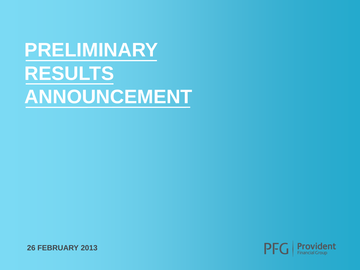# **PRELIMINARY RESULTS ANNOUNCEMENT**



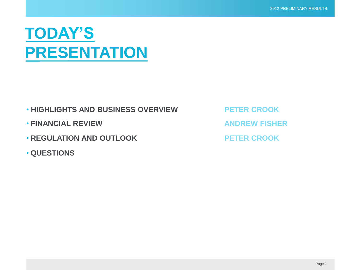#### **TODAY'S PRESENTATION**

- **HIGHLIGHTS AND BUSINESS OVERVIEW PETER CROOK**
- **FINANCIAL REVIEW ANDREW FISHER**
- **REGULATION AND OUTLOOK PETER CROOK**
- **QUESTIONS**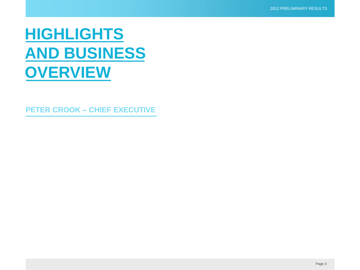#### **HIGHLIGHTS AND BUSINESS OVERVIEW**

**PETER CROOK – CHIEF EXECUTIVE**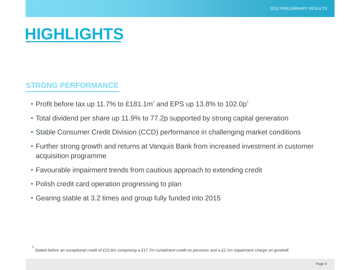#### **HIGHLIGHTS**

#### **STRONG PERFORMANCE**

- Profit before tax up 11.7% to £181.1m<sup>1</sup> and EPS up 13.8% to 102.0p<sup>1</sup>
- Total dividend per share up 11.9% to 77.2p supported by strong capital generation
- Stable Consumer Credit Division (CCD) performance in challenging market conditions
- Further strong growth and returns at Vanquis Bank from increased investment in customer acquisition programme
- Favourable impairment trends from cautious approach to extending credit
- Polish credit card operation progressing to plan
- Gearing stable at 3.2 times and group fully funded into 2015

1 *Stated before an exceptional credit of £15.6m comprising a £17.7m curtailment credit on pensions and a £2.1m impairment charge on goodwill*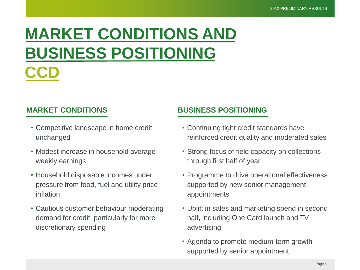#### **MARKET CONDITIONS AND BUSINESS POSITIONING CCD**

- Competitive landscape in home credit unchanged
- Modest increase in household average weekly earnings
- Household disposable incomes under pressure from food, fuel and utility price inflation
- Cautious customer behaviour moderating demand for credit, particularly for more discretionary spending

#### **MARKET CONDITIONS BUSINESS POSITIONING**

- Continuing tight credit standards have reinforced credit quality and moderated sales
- Strong focus of field capacity on collections through first half of year
- Programme to drive operational effectiveness supported by new senior management appointments
- Uplift in sales and marketing spend in second half, including One Card launch and TV advertising
- Agenda to promote medium-term growth supported by senior appointment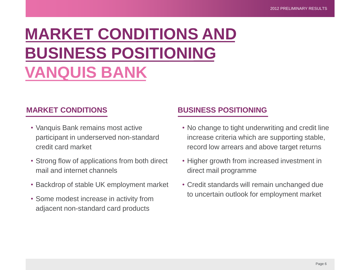## **MARKET CONDITIONS AND BUSINESS POSITIONING VANQUIS BANK**

- Vanquis Bank remains most active participant in underserved non-standard credit card market
- Strong flow of applications from both direct mail and internet channels
- Backdrop of stable UK employment market
- Some modest increase in activity from adjacent non-standard card products

#### **MARKET CONDITIONS BUSINESS POSITIONING**

- No change to tight underwriting and credit line increase criteria which are supporting stable, record low arrears and above target returns
- Higher growth from increased investment in direct mail programme
- Credit standards will remain unchanged due to uncertain outlook for employment market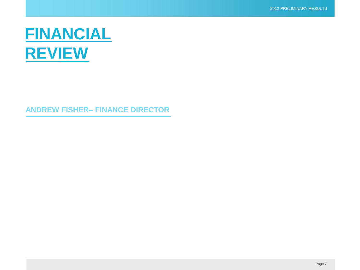#### **FINANCIAL REVIEW**

**ANDREW FISHER– FINANCE DIRECTOR**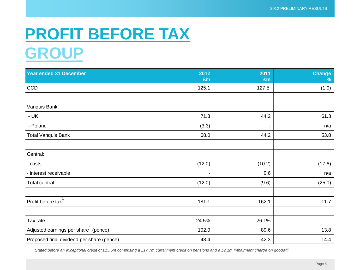#### **PROFIT BEFORE TAX GROUP**

| <b>Year ended 31 December</b>             | 2012<br>£m               | 2011<br>£m     | <b>Change</b><br>% |
|-------------------------------------------|--------------------------|----------------|--------------------|
| <b>CCD</b>                                | 125.1                    | 127.5          | (1.9)              |
|                                           |                          |                |                    |
| Vanquis Bank:                             |                          |                |                    |
| $- UK$                                    | 71.3                     | 44.2           | 61.3               |
| - Poland                                  | (3.3)                    | $\blacksquare$ | n/a                |
| <b>Total Vanquis Bank</b>                 | 68.0                     | 44.2           | 53.8               |
|                                           |                          |                |                    |
| Central:                                  |                          |                |                    |
| - costs                                   | (12.0)                   | (10.2)         | (17.6)             |
| - interest receivable                     | $\overline{\phantom{a}}$ | 0.6            | n/a                |
| Total central                             | (12.0)                   | (9.6)          | (25.0)             |
|                                           |                          |                |                    |
| Profit before tax                         | 181.1                    | 162.1          | 11.7               |
|                                           |                          |                |                    |
| Tax rate                                  | 24.5%                    | 26.1%          |                    |
| Adjusted earnings per share (pence)       | 102.0                    | 89.6           | 13.8               |
| Proposed final dividend per share (pence) | 48.4                     | 42.3           | 14.4               |

1 *Stated before an exceptional credit of £15.6m comprising a £17.7m curtailment credit on pensions and a £2.1m impairment charge on goodwill*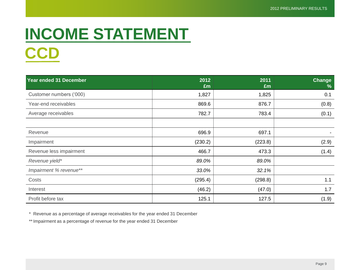#### **INCOME STATEMENT CCD**

| Year ended 31 December  | 2012<br>£m | 2011<br>£m | Change<br>% |
|-------------------------|------------|------------|-------------|
| Customer numbers ('000) | 1,827      | 1,825      | 0.1         |
| Year-end receivables    | 869.6      | 876.7      | (0.8)       |
| Average receivables     | 782.7      | 783.4      | (0.1)       |
|                         |            |            |             |
| Revenue                 | 696.9      | 697.1      |             |
| Impairment              | (230.2)    | (223.8)    | (2.9)       |
| Revenue less impairment | 466.7      | 473.3      | (1.4)       |
| Revenue yield*          | 89.0%      | 89.0%      |             |
| Impairment % revenue**  | 33.0%      | 32.1%      |             |
| Costs                   | (295.4)    | (298.8)    | 1.1         |
| Interest                | (46.2)     | (47.0)     | 1.7         |
| Profit before tax       | 125.1      | 127.5      | (1.9)       |

\* Revenue as a percentage of average receivables for the year ended 31 December

\*\* Impairment as a percentage of revenue for the year ended 31 December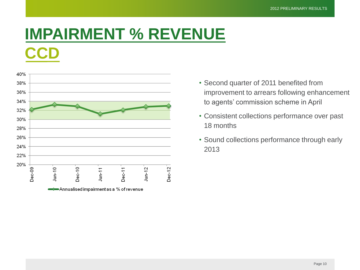#### **IMPAIRMENT % REVENUE CCD**



- Second quarter of 2011 benefited from improvement to arrears following enhancement to agents' commission scheme in April
- Consistent collections performance over past 18 months
- Sound collections performance through early 2013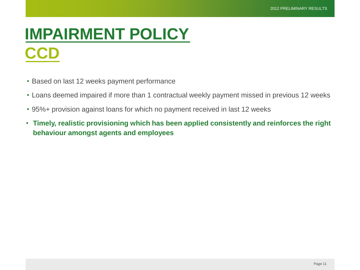#### **IMPAIRMENT POLICY CCD**

- Based on last 12 weeks payment performance
- Loans deemed impaired if more than 1 contractual weekly payment missed in previous 12 weeks
- 95%+ provision against loans for which no payment received in last 12 weeks
- **Timely, realistic provisioning which has been applied consistently and reinforces the right behaviour amongst agents and employees**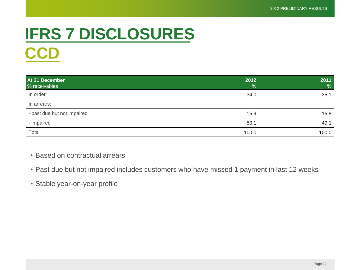## **IFRS 7 DISCLOSURES CCD**

| At 31 December<br>% receivables | 2012<br>$\frac{9}{6}$ | 2011<br>$\frac{9}{6}$ |
|---------------------------------|-----------------------|-----------------------|
| In order                        | 34.0                  | 35.1                  |
| In arrears:                     |                       |                       |
| - past due but not impaired     | 15.9                  | 15.8                  |
| - impaired                      | 50.1                  | 49.1                  |
| Total                           | 100.0                 | 100.0                 |

• Based on contractual arrears

- Past due but not impaired includes customers who have missed 1 payment in last 12 weeks
- Stable year-on-year profile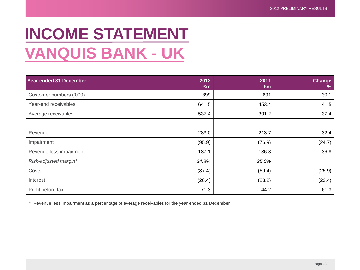### **INCOME STATEMENT VANQUIS BANK - UK**

| Year ended 31 December  | 2012<br>£m | 2011<br>£m | Change<br>% |
|-------------------------|------------|------------|-------------|
| Customer numbers ('000) | 899        | 691        | 30.1        |
| Year-end receivables    | 641.5      | 453.4      | 41.5        |
| Average receivables     | 537.4      | 391.2      | 37.4        |
|                         |            |            |             |
| Revenue                 | 283.0      | 213.7      | 32.4        |
| Impairment              | (95.9)     | (76.9)     | (24.7)      |
| Revenue less impairment | 187.1      | 136.8      | 36.8        |
| Risk-adjusted margin*   | 34.8%      | 35.0%      |             |
| Costs                   | (87.4)     | (69.4)     | (25.9)      |
| Interest                | (28.4)     | (23.2)     | (22.4)      |
| Profit before tax       | 71.3       | 44.2       | 61.3        |

\* Revenue less impairment as a percentage of average receivables for the year ended 31 December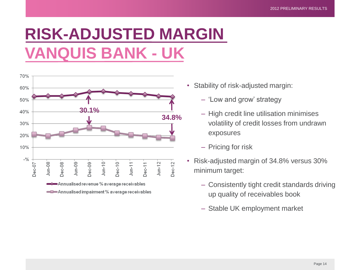### **RISK-ADJUSTED MARGIN VANQUIS BANK - UK**



- Stability of risk-adjusted margin:
	- 'Low and grow' strategy
	- High credit line utilisation minimises volatility of credit losses from undrawn exposures
	- Pricing for risk
- Risk-adjusted margin of 34.8% versus 30% minimum target:
	- Consistently tight credit standards driving up quality of receivables book
	- Stable UK employment market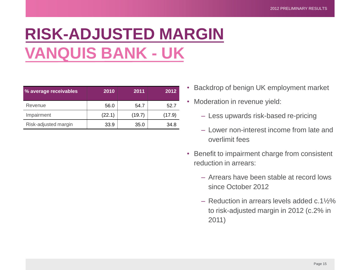## **RISK-ADJUSTED MARGIN VANQUIS BANK - UK**

| % average receivables | 2010   | 2011   | 2012   |
|-----------------------|--------|--------|--------|
| Revenue               | 56.0   | 54.7   | 52.7   |
| Impairment            | (22.1) | (19.7) | (17.9) |
| Risk-adjusted margin  | 33.9   | 35.0   | 34.8   |

- Backdrop of benign UK employment market
- Moderation in revenue yield:
	- Less upwards risk-based re-pricing
	- Lower non-interest income from late and overlimit fees
- Benefit to impairment charge from consistent reduction in arrears:
	- Arrears have been stable at record lows since October 2012
	- Reduction in arrears levels added c.1½% to risk-adjusted margin in 2012 (c.2% in 2011)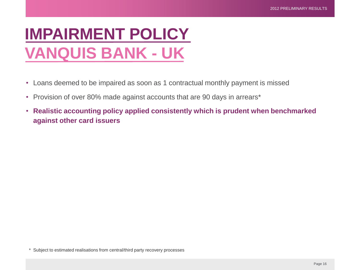#### **IMPAIRMENT POLICY VANQUIS BANK - UK**

- Loans deemed to be impaired as soon as 1 contractual monthly payment is missed
- Provision of over 80% made against accounts that are 90 days in arrears\*
- **Realistic accounting policy applied consistently which is prudent when benchmarked against other card issuers**

\* Subject to estimated realisations from central/third party recovery processes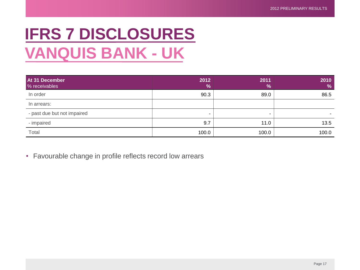### **IFRS 7 DISCLOSURES VANQUIS BANK - UK**

| At 31 December<br>% receivables | 2012<br>$\%$ | 2011<br>$\frac{9}{6}$ | 2010<br>$\frac{9}{6}$ |
|---------------------------------|--------------|-----------------------|-----------------------|
| In order                        | 90.3         | 89.0                  | 86.5                  |
| In arrears:                     |              |                       |                       |
| - past due but not impaired     |              | -                     |                       |
| - impaired                      | 9.7          | 11.0                  | 13.5                  |
| Total                           | 100.0        | 100.0                 | 100.0                 |

• Favourable change in profile reflects record low arrears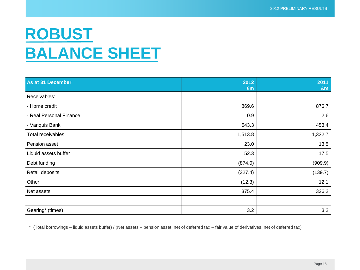#### **ROBUST BALANCE SHEET**

| As at 31 December       | 2012<br>£m | 2011<br>£m |
|-------------------------|------------|------------|
| Receivables:            |            |            |
| - Home credit           | 869.6      | 876.7      |
| - Real Personal Finance | 0.9        | 2.6        |
| - Vanquis Bank          | 643.3      | 453.4      |
| Total receivables       | 1,513.8    | 1,332.7    |
| Pension asset           | 23.0       | 13.5       |
| Liquid assets buffer    | 52.3       | 17.5       |
| Debt funding            | (874.0)    | (909.9)    |
| Retail deposits         | (327.4)    | (139.7)    |
| Other                   | (12.3)     | 12.1       |
| Net assets              | 375.4      | 326.2      |
|                         |            |            |
| Gearing* (times)        | 3.2        | 3.2        |

\* (Total borrowings – liquid assets buffer) / (Net assets – pension asset, net of deferred tax – fair value of derivatives, net of deferred tax)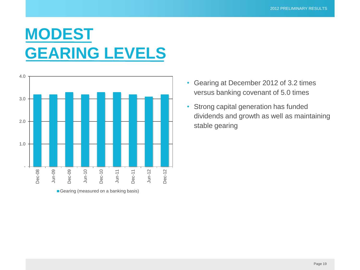#### **MODEST GEARING LEVELS**



- Gearing at December 2012 of 3.2 times versus banking covenant of 5.0 times
- Strong capital generation has funded dividends and growth as well as maintaining stable gearing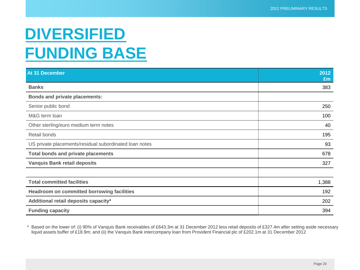#### **DIVERSIFIED FUNDING BASE**

| At 31 December                                         | 2012<br>£m |
|--------------------------------------------------------|------------|
| <b>Banks</b>                                           | 383        |
| <b>Bonds and private placements:</b>                   |            |
| Senior public bond                                     | 250        |
| M&G term loan                                          | 100        |
| Other sterling/euro medium term notes                  | 40         |
| Retail bonds                                           | 195        |
| US private placements/residual subordinated loan notes | 93         |
| <b>Total bonds and private placements</b>              | 678        |
| <b>Vanquis Bank retail deposits</b>                    | 327        |
|                                                        |            |
| <b>Total committed facilities</b>                      | 1,388      |
| <b>Headroom on committed borrowing facilities</b>      | 192        |
| Additional retail deposits capacity*                   | 202        |
| <b>Funding capacity</b>                                | 394        |

\* Based on the lower of: (i) 90% of Vanquis Bank receivables of £643.3m at 31 December 2012 less retail deposits of £327.4m after setting aside necessary liquid assets buffer of £18.9m; and (ii) the Vanquis Bank intercompany loan from Provident Financial plc of £202.1m at 31 December 2012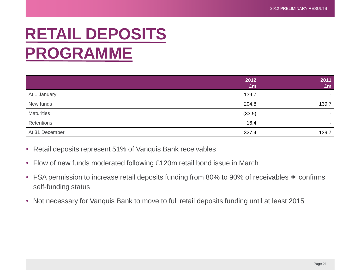#### **RETAIL DEPOSITS PROGRAMME**

|                   | 2012<br>£m | 2011<br>£m |
|-------------------|------------|------------|
| At 1 January      | 139.7      | ۰          |
| New funds         | 204.8      | 139.7      |
| <b>Maturities</b> | (33.5)     | ۰          |
| Retentions        | 16.4       | ۰.         |
| At 31 December    | 327.4      | 139.7      |

- Retail deposits represent 51% of Vanquis Bank receivables
- Flow of new funds moderated following £120m retail bond issue in March
- FSA permission to increase retail deposits funding from 80% to 90% of receivables  $\rightarrow$  confirms self-funding status
- Not necessary for Vanquis Bank to move to full retail deposits funding until at least 2015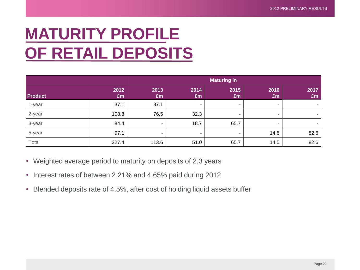#### **MATURITY PROFILE OF RETAIL DEPOSITS**

|                |            | <b>Maturing in</b> |            |            |                          |            |
|----------------|------------|--------------------|------------|------------|--------------------------|------------|
| <b>Product</b> | 2012<br>£m | 2013<br>£m         | 2014<br>£m | 2015<br>Em | 2016<br>Em               | 2017<br>Em |
| 1-year         | 37.1       | 37.1               |            |            |                          |            |
| 2-year         | 108.8      | 76.5               | 32.3       | ۰          | $\overline{\phantom{a}}$ |            |
| 3-year         | 84.4       | ٠                  | 18.7       | 65.7       | $\overline{\phantom{a}}$ |            |
| 5-year         | 97.1       | ٠.                 | ۰          |            | 14.5                     | 82.6       |
| Total          | 327.4      | 113.6              | 51.0       | 65.7       | 14.5                     | 82.6       |

- Weighted average period to maturity on deposits of 2.3 years
- Interest rates of between 2.21% and 4.65% paid during 2012
- Blended deposits rate of 4.5%, after cost of holding liquid assets buffer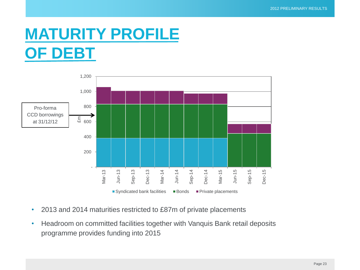#### **MATURITY PROFILE OF DEBT**



- 2013 and 2014 maturities restricted to £87m of private placements
- Headroom on committed facilities together with Vanquis Bank retail deposits programme provides funding into 2015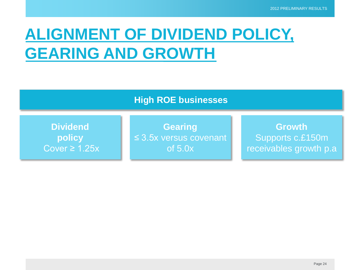#### **ALIGNMENT OF DIVIDEND POLICY, GEARING AND GROWTH**

|                    | <b>High ROE businesses</b>  |                        |
|--------------------|-----------------------------|------------------------|
| <b>Dividend</b>    | <b>Gearing</b>              | <b>Growth</b>          |
| policy             | $\leq$ 3.5x versus covenant | Supports c.£150m       |
| Cover $\geq 1.25x$ | of $5.0x$                   | receivables growth p.a |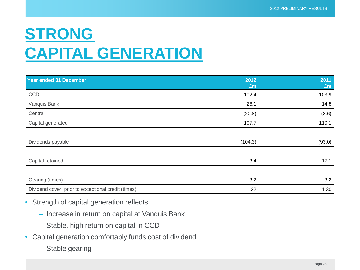#### **STRONG CAPITAL GENERATION**

| Year ended 31 December                              | 2012<br>£m | 2011<br>£m |
|-----------------------------------------------------|------------|------------|
| CCD                                                 | 102.4      | 103.9      |
| Vanquis Bank                                        | 26.1       | 14.8       |
| Central                                             | (20.8)     | (8.6)      |
| Capital generated                                   | 107.7      | 110.1      |
|                                                     |            |            |
| Dividends payable                                   | (104.3)    | (93.0)     |
|                                                     |            |            |
| Capital retained                                    | 3.4        | 17.1       |
|                                                     |            |            |
| Gearing (times)                                     | 3.2        | 3.2        |
| Dividend cover, prior to exceptional credit (times) | 1.32       | 1.30       |

- Strength of capital generation reflects:
	- Increase in return on capital at Vanquis Bank
	- Stable, high return on capital in CCD
- Capital generation comfortably funds cost of dividend
	- Stable gearing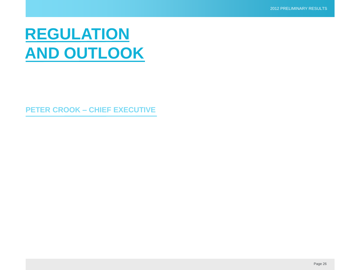#### **REGULATION AND OUTLOOK**

**PETER CROOK – CHIEF EXECUTIVE**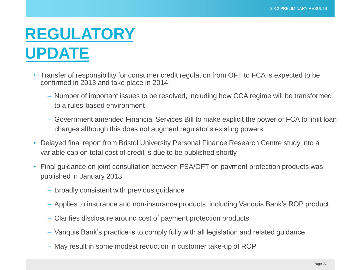#### **REGULATORY UPDATE**

- Transfer of responsibility for consumer credit regulation from OFT to FCA is expected to be confirmed in 2013 and take place in 2014:
	- Number of important issues to be resolved, including how CCA regime will be transformed to a rules-based environment
	- Government amended Financial Services Bill to make explicit the power of FCA to limit loan charges although this does not augment regulator's existing powers
- Delayed final report from Bristol University Personal Finance Research Centre study into a variable cap on total cost of credit is due to be published shortly
- Final guidance on joint consultation between FSA/OFT on payment protection products was published in January 2013:
	- Broadly consistent with previous guidance
	- Applies to insurance and non-insurance products, including Vanquis Bank's ROP product
	- Clarifies disclosure around cost of payment protection products
	- Vanquis Bank's practice is to comply fully with all legislation and related guidance
	- May result in some modest reduction in customer take-up of ROP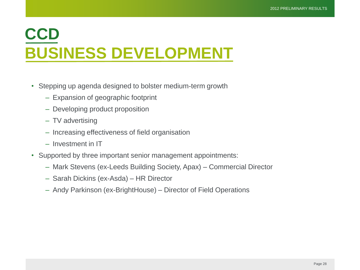#### **CCD BUSINESS DEVELOPMENT**

- Stepping up agenda designed to bolster medium-term growth
	- Expansion of geographic footprint
	- Developing product proposition
	- TV advertising
	- Increasing effectiveness of field organisation
	- Investment in IT
- Supported by three important senior management appointments:
	- Mark Stevens (ex-Leeds Building Society, Apax) Commercial Director
	- Sarah Dickins (ex-Asda) HR Director
	- Andy Parkinson (ex-BrightHouse) Director of Field Operations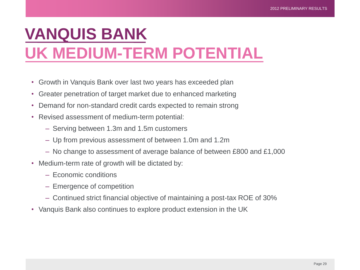### **VANQUIS BANK UK MEDIUM-TERM POTENTIAL**

- Growth in Vanquis Bank over last two years has exceeded plan
- Greater penetration of target market due to enhanced marketing
- Demand for non-standard credit cards expected to remain strong
- Revised assessment of medium-term potential:
	- Serving between 1.3m and 1.5m customers
	- Up from previous assessment of between 1.0m and 1.2m
	- No change to assessment of average balance of between £800 and £1,000
- Medium-term rate of growth will be dictated by:
	- Economic conditions
	- Emergence of competition
	- Continued strict financial objective of maintaining a post-tax ROE of 30%
- Vanquis Bank also continues to explore product extension in the UK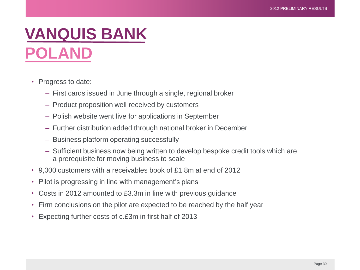#### **VANQUIS BANK POLAND**

- Progress to date:
	- First cards issued in June through a single, regional broker
	- Product proposition well received by customers
	- Polish website went live for applications in September
	- Further distribution added through national broker in December
	- Business platform operating successfully
	- Sufficient business now being written to develop bespoke credit tools which are a prerequisite for moving business to scale
- 9,000 customers with a receivables book of £1.8m at end of 2012
- Pilot is progressing in line with management's plans
- Costs in 2012 amounted to £3.3m in line with previous guidance
- Firm conclusions on the pilot are expected to be reached by the half year
- Expecting further costs of c.£3m in first half of 2013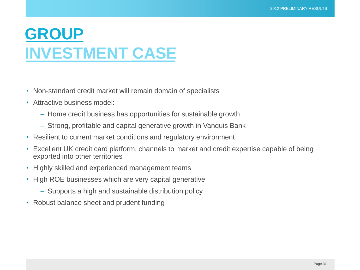#### **GROUP INVESTMENT CASE**

- Non-standard credit market will remain domain of specialists
- Attractive business model:
	- Home credit business has opportunities for sustainable growth
	- Strong, profitable and capital generative growth in Vanquis Bank
- Resilient to current market conditions and regulatory environment
- Excellent UK credit card platform, channels to market and credit expertise capable of being exported into other territories
- Highly skilled and experienced management teams
- High ROE businesses which are very capital generative
	- Supports a high and sustainable distribution policy
- Robust balance sheet and prudent funding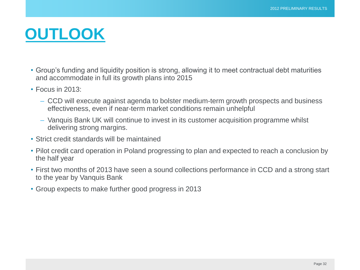#### **OUTLOOK**

- Group's funding and liquidity position is strong, allowing it to meet contractual debt maturities and accommodate in full its growth plans into 2015
- Focus in 2013:
	- CCD will execute against agenda to bolster medium-term growth prospects and business effectiveness, even if near-term market conditions remain unhelpful
	- Vanquis Bank UK will continue to invest in its customer acquisition programme whilst delivering strong margins.
- Strict credit standards will be maintained
- Pilot credit card operation in Poland progressing to plan and expected to reach a conclusion by the half year
- First two months of 2013 have seen a sound collections performance in CCD and a strong start to the year by Vanquis Bank
- Group expects to make further good progress in 2013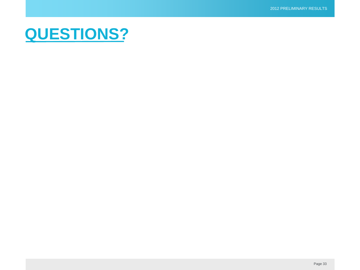#### **QUESTIONS?**